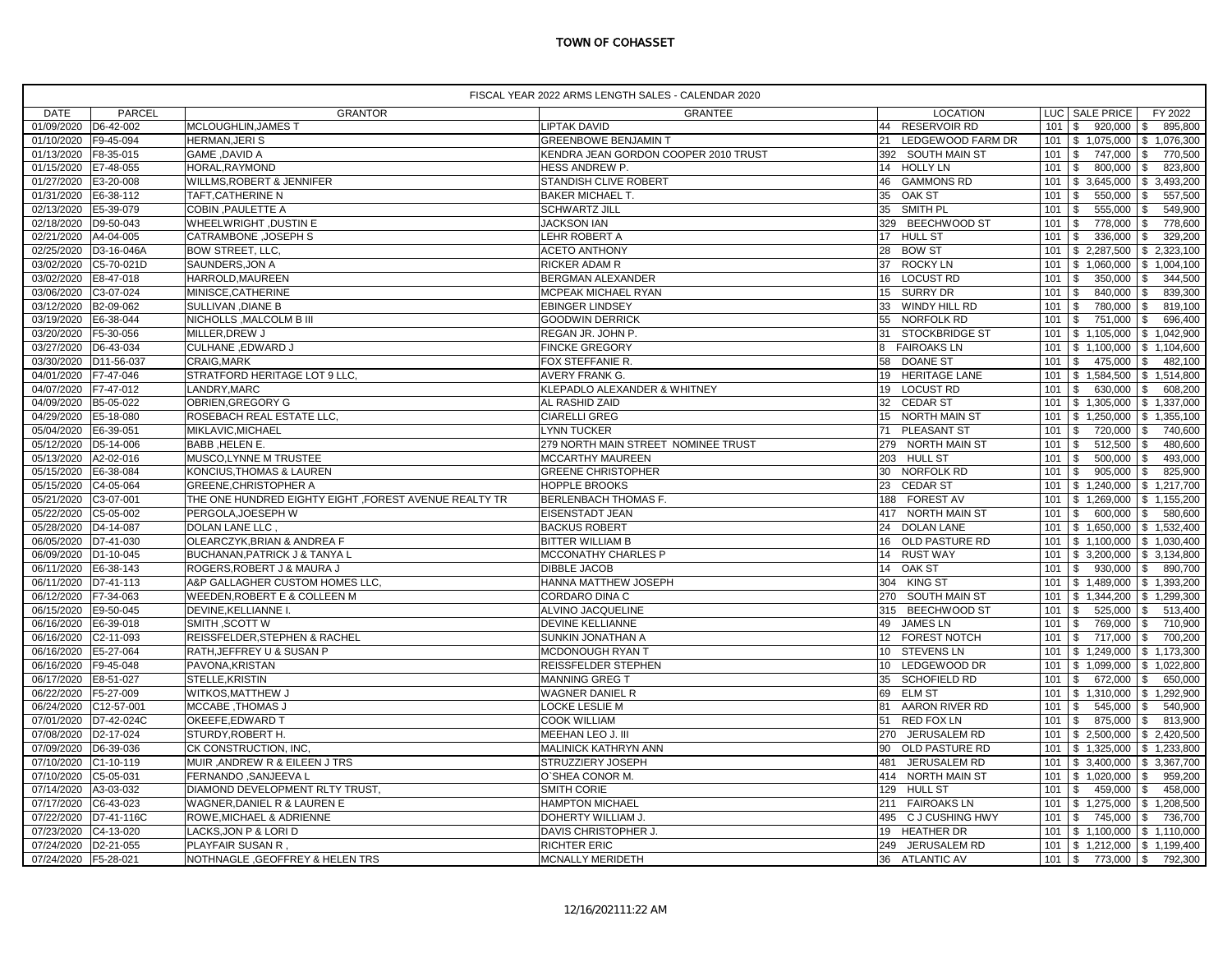## TOWN OF COHASSET

|                        | FISCAL YEAR 2022 ARMS LENGTH SALES - CALENDAR 2020 |                                                       |                                      |                                  |                |                                          |  |  |
|------------------------|----------------------------------------------------|-------------------------------------------------------|--------------------------------------|----------------------------------|----------------|------------------------------------------|--|--|
| <b>DATE</b>            | <b>PARCEL</b>                                      | <b>GRANTOR</b>                                        | GRANTEE                              | <b>LOCATION</b>                  |                | LUC SALE PRICE<br>FY 2022                |  |  |
| 01/09/2020 D6-42-002   |                                                    | MCLOUGHLIN, JAMES T                                   | <b>LIPTAK DAVID</b>                  | 44 RESERVOIR RD                  | 101S           | 895,800<br>920,000<br>\$                 |  |  |
| 01/10/2020             | F9-45-094                                          | HERMAN, JERIS                                         | <b>GREENBOWE BENJAMIN T</b>          | 21<br>LEDGEWOOD FARM DR          |                | 101   \$ 1,075,000<br>\$1,076,300        |  |  |
| 01/13/2020 F8-35-015   |                                                    | <b>GAME, DAVID A</b>                                  | KENDRA JEAN GORDON COOPER 2010 TRUST | 392 SOUTH MAIN ST                | $101 \t$ \$    | \$<br>747,000<br>770,500                 |  |  |
| 01/15/2020             | E7-48-055                                          | HORAL, RAYMOND                                        | HESS ANDREW P.                       | 14<br><b>HOLLY LN</b>            | $101$ \ \$     | 800,000<br>823,800<br>\$                 |  |  |
| 01/27/2020             | E3-20-008                                          | WILLMS, ROBERT & JENNIFER                             | STANDISH CLIVE ROBERT                | 46<br><b>GAMMONS RD</b>          |                | 101   \$ 3,645,000<br>\$ 3,493,200       |  |  |
| 01/31/2020   E6-38-112 |                                                    | TAFT, CATHERINE N                                     | <b>BAKER MICHAEL T.</b>              | 35 OAK ST                        | 101            | \$<br>550,000<br>\$<br>557,500           |  |  |
| 02/13/2020             | E5-39-079                                          | COBIN, PAULETTE A                                     | <b>SCHWARTZ JILL</b>                 | SMITH PL<br>35                   | 101            | \$<br>555,000<br>\$<br>549,900           |  |  |
| 02/18/2020             | D9-50-043                                          | <b>WHEELWRIGHT, DUSTIN E</b>                          | <b>JACKSON IAN</b>                   | 329<br><b>BEECHWOOD ST</b>       | $101$ \$       | 778,000<br>\$<br>778,600                 |  |  |
| 02/21/2020             | A4-04-005                                          | CATRAMBONE, JOSEPH S                                  | LEHR ROBERT A                        | 17 HULL ST                       | 101            | 336,000<br>329,200<br>\$<br>\$           |  |  |
| 02/25/2020             | D3-16-046A                                         | <b>BOW STREET, LLC.</b>                               | <b>ACETO ANTHONY</b>                 | <b>BOW ST</b><br>28              | 101            | \$2,287,500<br>\$2,323,100               |  |  |
| 03/02/2020             | C5-70-021D                                         | SAUNDERS, JON A                                       | RICKER ADAM R                        | <b>ROCKY LN</b><br>37            |                | 101 \$ 1,060,000<br>\$1,004,100          |  |  |
| 03/02/2020             | E8-47-018                                          | HARROLD, MAUREEN                                      | BERGMAN ALEXANDER                    | 16<br><b>LOCUST RD</b>           | $101$ \ \$     | 350,000<br>\$<br>344,500                 |  |  |
| 03/06/2020             | C3-07-024                                          | MINISCE, CATHERINE                                    | MCPEAK MICHAEL RYAN                  | 15<br><b>SURRY DR</b>            | 101            | 840,000<br>839,300<br>\$<br>\$           |  |  |
| 03/12/2020             | B2-09-062                                          | SULLIVAN, DIANE B                                     | <b>EBINGER LINDSEY</b>               | 33<br>WINDY HILL RD              | $101$ \$       | 780,000<br>\$<br>819,100                 |  |  |
| 03/19/2020             | E6-38-044                                          | NICHOLLS, MALCOLM B III                               | <b>GOODWIN DERRICK</b>               | 55 NORFOLK RD                    | 101S           | 751,000<br>$\mathfrak s$<br>696,400      |  |  |
| 03/20/2020             | F5-30-056                                          | MILLER, DREW J                                        | REGAN JR. JOHN P.                    | 31<br><b>STOCKBRIDGE ST</b>      | 101            | \$1,105,000<br>\$1,042,900               |  |  |
| 03/27/2020             | D6-43-034                                          | CULHANE , EDWARD J                                    | <b>FINCKE GREGORY</b>                | <b>FAIROAKS LN</b><br>8          |                | 101 \$ 1,100,000<br>\$1,104,600          |  |  |
| 03/30/2020             | D11-56-037                                         | <b>CRAIG.MARK</b>                                     | FOX STEFFANIE R.                     | 58 DOANE ST                      | 101            | \$<br>475,000<br>$\mathbb{S}$<br>482,100 |  |  |
| 04/01/2020             | F7-47-046                                          | STRATFORD HERITAGE LOT 9 LLC,                         | AVERY FRANK G.                       | 19 HERITAGE LANE                 |                | 101 \$ 1,584,500<br>\$1,514,800          |  |  |
| 04/07/2020             | F7-47-012                                          | LANDRY, MARC                                          | KLEPADLO ALEXANDER & WHITNEY         | <b>LOCUST RD</b><br>19           | $101 \quad$ \$ | 630,000<br>608,200<br>\$                 |  |  |
| 04/09/2020             | B5-05-022                                          | OBRIEN, GREGORY G                                     | AL RASHID ZAID                       | 32 CEDAR ST                      |                | \$1,337,000<br>101 \$ 1,305,000          |  |  |
| 04/29/2020             | E5-18-080                                          | ROSEBACH REAL ESTATE LLC,                             | <b>CIARELLI GREG</b>                 | 15 NORTH MAIN ST                 | 101            | \$1,250,000<br>\$1,355,100               |  |  |
| 05/04/2020             | E6-39-051                                          | MIKLAVIC, MICHAEL                                     | <b>LYNN TUCKER</b>                   | PLEASANT ST<br>71                | $101$ \ \$     | 720,000<br>\$<br>740,600                 |  |  |
| 05/12/2020             | D5-14-006                                          | <b>BABB, HELEN E.</b>                                 | 279 NORTH MAIN STREET NOMINEE TRUST  | 279 NORTH MAIN ST                | $101$ \$       | 512,500<br>480,600<br>\$                 |  |  |
| 05/13/2020             | A2-02-016                                          | MUSCO, LYNNE M TRUSTEE                                | MCCARTHY MAUREEN                     | 203 HULL ST                      | $101$ \$       | 500,000<br>\$<br>493,000                 |  |  |
| 05/15/2020 E6-38-084   |                                                    | KONCIUS, THOMAS & LAUREN                              | <b>GREENE CHRISTOPHER</b>            | 30 NORFOLK RD                    | $101$ \$       | 905,000<br>825,900<br>\$                 |  |  |
| 05/15/2020             | C4-05-064                                          | <b>GREENE, CHRISTOPHER A</b>                          | HOPPLE BROOKS                        | 23 CEDAR ST                      | 101            | \$1,240,000<br>\$1,217,700               |  |  |
| 05/21/2020             | C3-07-001                                          | THE ONE HUNDRED EIGHTY EIGHT, FOREST AVENUE REALTY TR | BERLENBACH THOMAS F.                 | 188 FOREST AV                    | 101            | \$1,269,000<br>\$1,155,200               |  |  |
| 05/22/2020             | C5-05-002                                          | PERGOLA, JOESEPH W                                    | EISENSTADT JEAN                      | 417 NORTH MAIN ST                | $101 \quad$ \$ | $600,000$ \$<br>580,600                  |  |  |
| 05/28/2020             | D4-14-087                                          | DOLAN LANE LLC                                        | <b>BACKUS ROBERT</b>                 | 24<br><b>DOLAN LANE</b>          |                | 101 \$ 1,650,000<br>\$1,532,400          |  |  |
| 06/05/2020             | D7-41-030                                          | OLEARCZYK, BRIAN & ANDREA F                           | <b>BITTER WILLIAM B</b>              | 16<br>OLD PASTURE RD             |                | 101   \$ 1,100,000   \$ 1,030,400        |  |  |
| 06/09/2020             | D <sub>1</sub> -10-045                             | <b>BUCHANAN, PATRICK J &amp; TANYA L</b>              | MCCONATHY CHARLES P                  | 14<br><b>RUST WAY</b>            |                | 101   \$ 3,200,000   \$ 3,134,800        |  |  |
| 06/11/2020             | E6-38-143                                          | ROGERS, ROBERT J & MAURA J                            | <b>DIBBLE JACOB</b>                  | 14 OAK ST                        | $101 \,$ \$    | 930,000<br>\$<br>890,700                 |  |  |
| 06/11/2020             | D7-41-113                                          | A&P GALLAGHER CUSTOM HOMES LLC,                       | HANNA MATTHEW JOSEPH                 | 304 KING ST                      |                | 101   \$ 1,489,000   \$ 1,393,200        |  |  |
| 06/12/2020             | F7-34-063                                          | <b>WEEDEN, ROBERT E &amp; COLLEEN M</b>               | CORDARO DINA C                       | <b>SOUTH MAIN ST</b><br>270      |                | $101$ \$ 1,344,200<br>\$1,299,300        |  |  |
| 06/15/2020             | E9-50-045                                          | DEVINE.KELLIANNE I.                                   | <b>ALVINO JACQUELINE</b>             | 315 BEECHWOOD ST                 | 101            | 525,000<br>513,400<br>\$<br>\$           |  |  |
| 06/16/2020             | E6-39-018                                          | SMITH, SCOTT W                                        | <b>DEVINE KELLIANNE</b>              | 49<br><b>JAMES LN</b>            | 101            | 710,900<br>\$<br>769,000<br>\$           |  |  |
| 06/16/2020             | C2-11-093                                          | REISSFELDER, STEPHEN & RACHEL                         | SUNKIN JONATHAN A                    | 12 <sup>12</sup><br>FOREST NOTCH | 101            | 717,000<br>\$<br>700,200<br>\$           |  |  |
| 06/16/2020             | E5-27-064                                          | <b>RATH, JEFFREY U &amp; SUSAN P</b>                  | <b>MCDONOUGH RYAN 1</b>              | 10<br><b>STEVENS LN</b>          |                | 101 \$ 1,249,000<br>\$1,173,300          |  |  |
| 06/16/2020             | F9-45-048                                          | PAVONA, KRISTAN                                       | REISSFELDER STEPHEN                  | 10 LEDGEWOOD DR                  | 101            | \$1,099,000<br>\$1,022,800               |  |  |
| 06/17/2020             | E8-51-027                                          | STELLE, KRISTIN                                       | <b>MANNING GREG T</b>                | SCHOFIELD RD<br>35               | 101            | \$<br>672,000<br>\$<br>650,000           |  |  |
| 06/22/2020             | F5-27-009                                          | <b>WITKOS, MATTHEW J</b>                              | WAGNER DANIEL R                      | 69<br><b>ELM ST</b>              |                | 101   \$ 1,310,000<br>\$1,292,900        |  |  |
| 06/24/2020             | C12-57-001                                         | <b>MCCABE, THOMAS J</b>                               | LOCKE LESLIE M                       | AARON RIVER RD<br>81             | 101            | \$<br>545,000<br>\$<br>540,900           |  |  |
| 07/01/2020             | D7-42-024C                                         | <b>OKEEFE, EDWARD T</b>                               | <b>COOK WILLIAM</b>                  | 51<br><b>RED FOX LN</b>          | 101            | \$<br>875,000<br>\$<br>813,900           |  |  |
| 07/08/2020             | D2-17-024                                          | STURDY, ROBERT H.                                     | MEEHAN LEO J. III                    | 270 JERUSALEM RD                 |                | 101 \$ 2,500,000<br>\$2,420,500          |  |  |
| 07/09/2020 D6-39-036   |                                                    | CK CONSTRUCTION, INC,                                 | MALINICK KATHRYN ANN                 | 90 OLD PASTURE RD                |                | 101   \$ 1,325,000   \$ 1,233,800        |  |  |
| 07/10/2020             | C1-10-119                                          | MUIR, ANDREW R & EILEEN J TRS                         | STRUZZIERY JOSEPH                    | JERUSALEM RD<br>481              |                | 101 \$ 3,400,000<br>\$ 3,367,700         |  |  |
| 07/10/2020 C5-05-031   |                                                    | FERNANDO, SANJEEVA L                                  | O'SHEA CONOR M.                      | 414 NORTH MAIN ST                |                | 101 \$ 1,020,000<br>\$<br>959,200        |  |  |
| 07/14/2020             | A3-03-032                                          | DIAMOND DEVELOPMENT RLTY TRUST,                       | SMITH CORIE                          | 129 HULL ST                      | $101$ \ \$     | 459,000<br>$\mathfrak{s}$<br>458,000     |  |  |
| 07/17/2020             | C6-43-023                                          | WAGNER, DANIEL R & LAUREN E                           | <b>HAMPTON MICHAEL</b>               | 211 FAIROAKS LN                  |                | 101 \$ 1,275,000<br>\$1,208,500          |  |  |
|                        | 07/22/2020 D7-41-116C                              | <b>ROWE, MICHAEL &amp; ADRIENNE</b>                   | DOHERTY WILLIAM J.                   | 495 C J CUSHING HWY              | $101 \,$ \$    | 745,000<br>$\mathbb{S}$<br>736,700       |  |  |
| 07/23/2020             | C4-13-020                                          | LACKS, JON P & LORI D                                 | DAVIS CHRISTOPHER J.                 | 19 HEATHER DR                    |                | 101 \$ 1,100,000<br>\$1,110,000          |  |  |
| 07/24/2020             | D2-21-055                                          | PLAYFAIR SUSAN R                                      | <b>RICHTER ERIC</b>                  | 249 JERUSALEM RD                 |                | 101   \$ 1,212,000   \$ 1,199,400        |  |  |
| 07/24/2020 F5-28-021   |                                                    | NOTHNAGLE, GEOFFREY & HELEN TRS                       | MCNALLY MERIDETH                     | 36 ATLANTIC AV                   |                | $101 \mid$ \$ 773,000   \$<br>792,300    |  |  |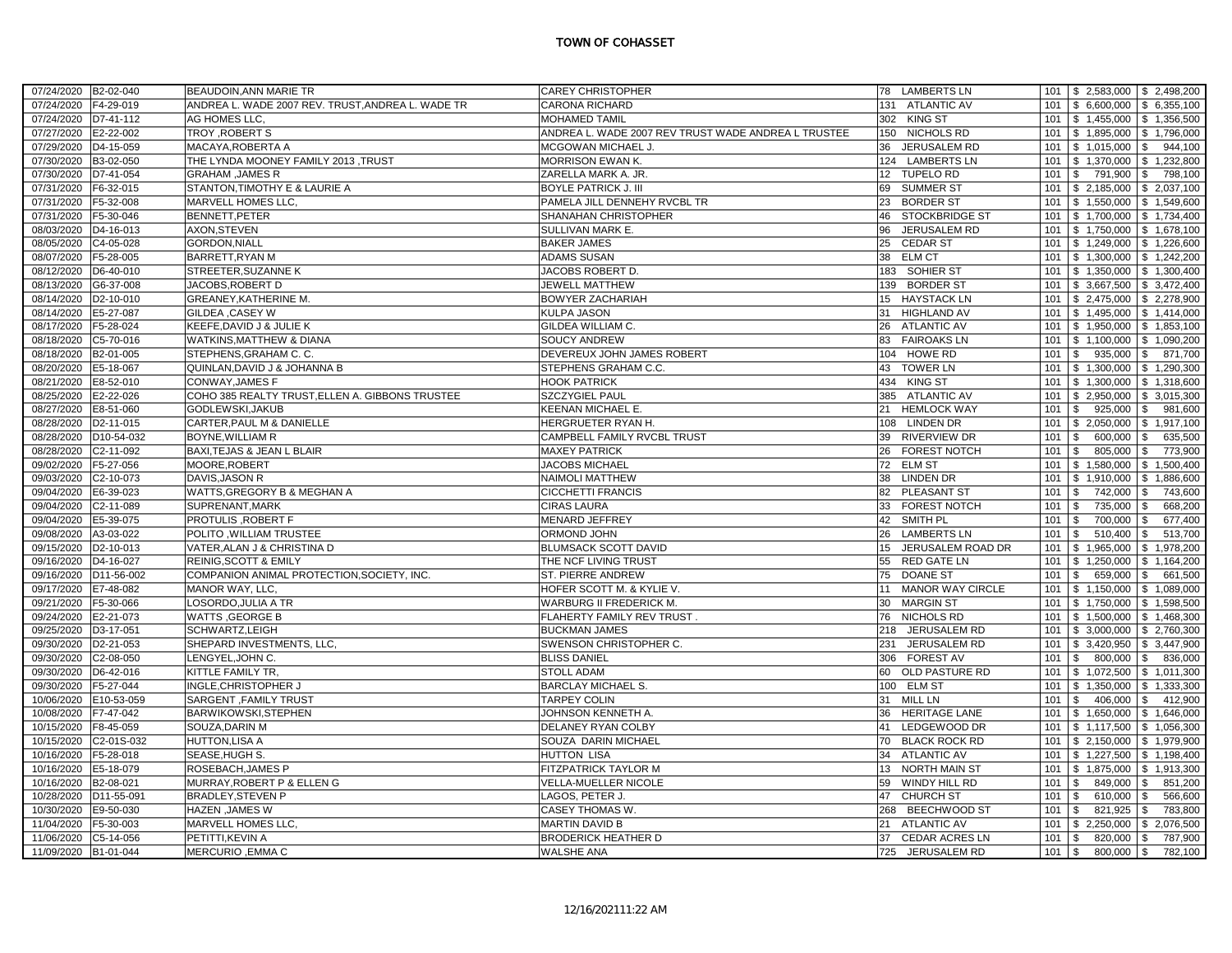| 07/24/2020 B2-02-040     | BEAUDOIN.ANN MARIE TR                             | <b>CAREY CHRISTOPHER</b>                            | 78 LAMBERTS LN              | $101 \mid$ \$ 2,583,000   \$ 2,498,200         |
|--------------------------|---------------------------------------------------|-----------------------------------------------------|-----------------------------|------------------------------------------------|
| 07/24/2020 F4-29-019     | ANDREA L. WADE 2007 REV. TRUST, ANDREA L. WADE TR | <b>CARONA RICHARD</b>                               | 131 ATLANTIC AV             | 101<br>$$6,600,000$ $$6,355,100$               |
| 07/24/2020 D7-41-112     | AG HOMES LLC,                                     | MOHAMED TAMIL                                       | 302 KING ST                 | $$1,455,000$ $$1,356,500$<br>101               |
| 07/27/2020 E2-22-002     | TROY, ROBERT S                                    | ANDREA L. WADE 2007 REV TRUST WADE ANDREA L TRUSTEE | 150 NICHOLS RD              | $$1,895,000$ $$1,796,000$<br>101               |
| 07/29/2020<br>D4-15-059  | MACAYA, ROBERTA A                                 | MCGOWAN MICHAEL J.                                  | 36 JERUSALEM RD             | 101<br>$$1,015,000$ \ \$<br>944,100            |
| 07/30/2020 B3-02-050     | THE LYNDA MOONEY FAMILY 2013 ,TRUST               | MORRISON EWAN K.                                    | 124 LAMBERTS LN             | $$1,370,000$ $$1,232,800$<br>101               |
| 07/30/2020 D7-41-054     | <b>GRAHAM, JAMES R</b>                            | ZARELLA MARK A. JR.                                 | 12 TUPELO RD                | $\mathfrak{S}$<br>791,900 \$<br>101<br>798,100 |
| 07/31/2020 F6-32-015     | STANTON, TIMOTHY E & LAURIE A                     | <b>BOYLE PATRICK J. III</b>                         | 69 SUMMER ST                | 101<br>$$2,185,000$ $$2,037,100$               |
| 07/31/2020 F5-32-008     | MARVELL HOMES LLC,                                | PAMELA JILL DENNEHY RVCBL TR                        | 23<br><b>BORDER ST</b>      | $$1,550,000$ $$1,549,600$<br>101               |
| 07/31/2020 F5-30-046     | BENNETT, PETER                                    | SHANAHAN CHRISTOPHER                                | <b>STOCKBRIDGE ST</b><br>46 | $$1,700,000$ $$1,734,400$<br>101               |
| 08/03/2020<br>D4-16-013  | AXON, STEVEN                                      | <b>SULLIVAN MARK E.</b>                             | 96<br>JERUSALEM RD          | $$1,750,000$ $$1,678,100$<br>101               |
| 08/05/2020 C4-05-028     | <b>GORDON, NIALL</b>                              | <b>BAKER JAMES</b>                                  | 25<br><b>CEDAR ST</b>       | 101<br>$$1,249,000$ $$1,226,600$               |
| 08/07/2020 F5-28-005     | <b>BARRETT, RYAN M</b>                            | <b>ADAMS SUSAN</b>                                  | 38<br><b>ELM CT</b>         | $$1,300,000$ $$1,242,200$<br>101               |
| 08/12/2020 D6-40-010     | STREETER, SUZANNE K                               | JACOBS ROBERT D.                                    | 183 SOHIER ST               | 101<br>$$1,350,000$ $$1,300,400$               |
| 08/13/2020 G6-37-008     | JACOBS, ROBERT D                                  | JEWELL MATTHEW                                      | 139 BORDER ST               | 101<br>$$3,667,500$ $$3,472,400$               |
| 08/14/2020<br>D2-10-010  | GREANEY, KATHERINE M.                             | <b>BOWYER ZACHARIAH</b>                             | 15 HAYSTACK LN              | 101<br>$$2,475,000$ $$2,278,900$               |
| 08/14/2020<br>E5-27-087  | <b>GILDEA , CASEY W</b>                           | KULPA JASON                                         | 31 HIGHLAND AV              | 101<br>$$1,495,000$ $$1,414,000$               |
| 08/17/2020 F5-28-024     | KEEFE, DAVID J & JULIE K                          | <b>GILDEA WILLIAM C.</b>                            | 26 ATLANTIC AV              | $$1,950,000$ \ \$ 1,853,100<br>101             |
| 08/18/2020<br>C5-70-016  | <b>WATKINS, MATTHEW &amp; DIANA</b>               | <b>SOUCY ANDREW</b>                                 | 83<br><b>FAIROAKS LN</b>    | $$1,100,000$ $$1,090,200$<br>101               |
| 08/18/2020 B2-01-005     | STEPHENS, GRAHAM C. C.                            | <b>DEVEREUX JOHN JAMES ROBERT</b>                   | 104 HOWE RD                 | 101<br>$$935,000$ \ \$<br>871,700              |
| 08/20/2020 E5-18-067     | QUINLAN, DAVID J & JOHANNA B                      | <b>STEPHENS GRAHAM C.C.</b>                         | 43 TOWER LN                 | $$1,300,000$ $$1,290,300$<br>101               |
| 08/21/2020<br>E8-52-010  | <b>CONWAY, JAMES F</b>                            | <b>HOOK PATRICK</b>                                 | 434 KING ST                 | $$1,300,000$ $$1,318,600$<br>101               |
| 08/25/2020 E2-22-026     | COHO 385 REALTY TRUST, ELLEN A. GIBBONS TRUSTEE   | <b>SZCZYGIEL PAUL</b>                               | 385 ATLANTIC AV             | 101<br>$$2,950,000$ $$3,015,300$               |
| 08/27/2020 E8-51-060     | GODLEWSKI, JAKUB                                  | <b>KEENAN MICHAEL E.</b>                            | 21 HEMLOCK WAY              | 101<br>\$<br>$925,000$ \$<br>981,600           |
| 08/28/2020<br>D2-11-015  | CARTER, PAUL M & DANIELLE                         | HERGRUETER RYAN H.                                  | <b>LINDEN DR</b><br>108     | $$2,050,000$ \ \$ 1,917,100<br>101             |
| 08/28/2020 D10-54-032    | <b>BOYNE, WILLIAM R</b>                           | CAMPBELL FAMILY RVCBL TRUST                         | 39 RIVERVIEW DR             | \$<br>600,000<br>\$<br>635,500<br>101          |
|                          |                                                   |                                                     |                             |                                                |
| 08/28/2020 C2-11-092     | BAXI, TEJAS & JEAN L BLAIR                        | <b>MAXEY PATRICK</b>                                | 26 FOREST NOTCH             | 101<br>\$<br>805,000<br>$\sqrt{3}$<br>773,900  |
| 09/02/2020 F5-27-056     | MOORE, ROBERT                                     | <b>JACOBS MICHAEL</b>                               | 72<br><b>ELM ST</b>         | \$1,580,000<br>\$1,500,400<br>101              |
| 09/03/2020 C2-10-073     | DAVIS, JASON R                                    | <b>NAIMOLI MATTHEW</b>                              | 38<br><b>LINDEN DR</b>      | 101<br>\$1,910,000<br>\$1,886,600              |
| 09/04/2020 E6-39-023     | WATTS, GREGORY B & MEGHAN A                       | <b>CICCHETTI FRANCIS</b>                            | 82 PLEASANT ST              | 101<br>\$<br>742,000<br>\$<br>743,600          |
| 09/04/2020<br>C2-11-089  | SUPRENANT, MARK                                   | <b>CIRAS LAURA</b>                                  | 33<br>FOREST NOTCH          | \$<br>735,000<br>668.200<br>101<br>\$          |
| 09/04/2020 E5-39-075     | <b>PROTULIS, ROBERT F</b>                         | MENARD JEFFREY                                      | 42 SMITH PL                 | 677,400<br>101<br>\$<br>700,000<br>\$          |
| 09/08/2020<br>A3-03-022  | POLITO .WILLIAM TRUSTEE                           | <b>ORMOND JOHN</b>                                  | 26 LAMBERTS LN              | \$<br>510,400<br><b>S</b><br>513,700<br>101    |
| 09/15/2020<br>D2-10-013  | VATER, ALAN J & CHRISTINA D                       | <b>BLUMSACK SCOTT DAVID</b>                         | JERUSALEM ROAD DR<br>15     | 101<br>$$1,965,000$ $$1,978,200$               |
| 09/16/2020<br>D4-16-027  | <b>REINIG, SCOTT &amp; EMILY</b>                  | THE NCF LIVING TRUST                                | 55 RED GATE LN              | \$1,164,200<br>101<br>\$1,250,000              |
| 09/16/2020 D11-56-002    | COMPANION ANIMAL PROTECTION, SOCIETY, INC.        | <b>ST. PIERRE ANDREW</b>                            | 75 DOANE ST                 | \$<br>659,000 \$<br>101<br>661,500             |
| 09/17/2020<br>E7-48-082  | MANOR WAY, LLC,                                   | HOFER SCOTT M. & KYLIE V.                           | MANOR WAY CIRCLE<br>11      | 101<br>$$1,150,000$ $$1,089,000$               |
| 09/21/2020 F5-30-066     | LOSORDO, JULIA A TR                               | WARBURG II FREDERICK M.                             | 30 MARGIN ST                | $$1,750,000$ $$1,598,500$<br>101               |
| 09/24/2020 E2-21-073     | <b>WATTS , GEORGE B</b>                           | FLAHERTY FAMILY REV TRUST.                          | 76 NICHOLS RD               | $$1,500,000$ $$1,468,300$<br>101               |
| 09/25/2020<br>D3-17-051  | SCHWARTZ, LEIGH                                   | <b>BUCKMAN JAMES</b>                                | JERUSALEM RD<br>218         | $$3,000,000$ $$2,760,300$<br>101               |
| 09/30/2020 D2-21-053     | SHEPARD INVESTMENTS, LLC,                         | SWENSON CHRISTOPHER C.                              | 231<br>JERUSALEM RD         | $$3,420,950$ $$3,447,900$<br>101               |
| 09/30/2020 C2-08-050     | LENGYEL, JOHN C.                                  | <b>BLISS DANIEL</b>                                 | 306 FOREST AV               | 101<br>$\mathbb{S}$<br>$800,000$ \$<br>836,000 |
| 09/30/2020<br>D6-42-016  | KITTLE FAMILY TR.                                 | <b>STOLL ADAM</b>                                   | 60<br>OLD PASTURE RD        | $$1,072,500$ $$1,011,300$<br>101               |
| 09/30/2020 F5-27-044     | INGLE, CHRISTOPHER J                              | <b>BARCLAY MICHAEL S.</b>                           | 100 ELM ST                  | 101<br>$$1,350,000$ $$1,333,300$               |
| 10/06/2020 E10-53-059    | SARGENT , FAMILY TRUST                            | <b>TARPEY COLIN</b>                                 | 31 MILL LN                  | $\mathfrak s$<br>101<br>406,000 \$<br>412,900  |
| 10/08/2020<br>F7-47-042  | <b>BARWIKOWSKI, STEPHEN</b>                       | JOHNSON KENNETH A.                                  | 36 HERITAGE LANE            | 101<br>$$1,650,000$ $$1,646,000$               |
| 10/15/2020 F8-45-059     | SOUZA, DARIN M                                    | <b>DELANEY RYAN COLBY</b>                           | LEDGEWOOD DR<br>41          | $$1,117,500$ \ \$ 1,056,300<br>101             |
| 10/15/2020<br>C2-01S-032 | <b>HUTTON,LISA A</b>                              | SOUZA DARIN MICHAEL                                 | 70 BLACK ROCK RD            | $$2,150,000$ $$1,979,900$<br>101               |
| 10/16/2020<br>F5-28-018  | SEASE, HUGH S.                                    | HUTTON LISA                                         | 34 ATLANTIC AV              | 101<br>$$1,227,500$ $$1,198,400$               |
| 10/16/2020<br>E5-18-079  | ROSEBACH, JAMES P                                 | <b>FITZPATRICK TAYLOR M</b>                         | 13 NORTH MAIN ST            | $$1,875,000$ $$1,913,300$<br>101               |
| 10/16/2020<br>B2-08-021  | MURRAY, ROBERT P & ELLEN G                        | VELLA-MUELLER NICOLE                                | 59 WINDY HILL RD            | \$<br>$849,000$ \$<br>851,200<br>101           |
| 10/28/2020<br>D11-55-091 | <b>BRADLEY, STEVEN P</b>                          | LAGOS, PETER J.                                     | 47 CHURCH ST                | 566,600<br>101<br>\$<br>610,000<br>$\sqrt{3}$  |
| 10/30/2020 E9-50-030     | HAZEN , JAMES W                                   | CASEY THOMAS W.                                     | 268 BEECHWOOD ST            | \$<br>$821,925$ \$<br>783,800<br>101           |
| 11/04/2020 F5-30-003     | MARVELL HOMES LLC,                                | <b>MARTIN DAVID B</b>                               | 21 ATLANTIC AV              | $\frac{1}{2}$ 2,250,000 \ \$ 2,076,500<br>101  |
| 11/06/2020<br>C5-14-056  | PETITTI, KEVIN A                                  | <b>BRODERICK HEATHER D</b>                          | 37 CEDAR ACRES LN           | 101<br>\$<br>820,000 \$<br>787,900             |
| 11/09/2020 B1-01-044     | MERCURIO, EMMA C                                  | <b>WALSHE ANA</b>                                   | 725 JERUSALEM RD            | $101 \t$ \$<br>$800,000$ \$<br>782,100         |
|                          |                                                   |                                                     |                             |                                                |